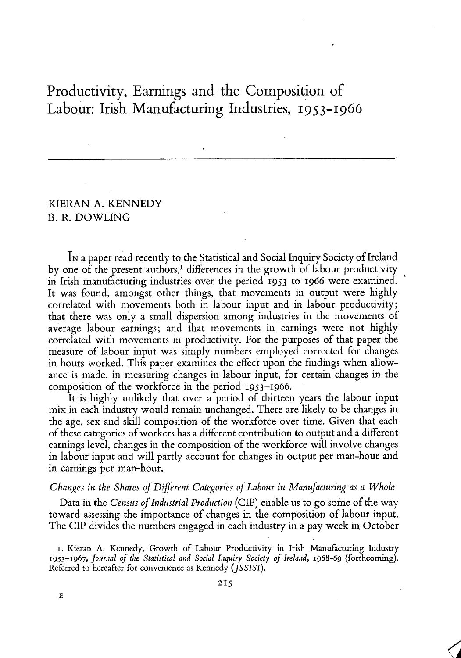# Productivity, Earnings and the Composition of Labour: Irish Manufacturing Industries, 1953-1966

# KIERAN A. KENNEDY B. R. DOWLING

IN a paper read recently to the Statistical and Social Inquiry Society of Ireland by one of the present authors,<sup>1</sup> differences in the growth of labour productivity in Irish manufacturing industries over the period **1953** to **1966** were examined. It was found, amongst other things, that movements in output were highly correlated with movements both in labour input and in labour productivity; that there was only a small dispersion among industries in the movements of average labour earnings; and that movements in earnings were not highly correlated with movements in productivity. For the purposes of that paper the measure of labour input was simply numbers employed corrected for changes in hours worked. This paper examines the effect upon the findings when allowance is made, in measuring changes in labour input, for certain changes in the composition of the workforce in the period 1953-1966.

It is highly unlikely that over a period of thirteen years the labour input mix in each industry would remain unchanged. There are likely to be changes in the age, sex and skill composition of the workforce over time. Given that each of these categories of workers has a different contribution to output and a different earnings level, changes in the composition of the workforce will involve changes in labour input and will partly account for changes in output per man-hour and in earnings per man-hour.

## *Changes in the Shares of Different Categories of Labour in Manufacturing as a Whole*

Data in the *Census of Industrial Production* (CLP) enable us to go some ofthe way toward assessing the importance of changes in the composition of labour input. The CIP divides the numbers engaged in each industry in a pay week in October

1. Kicran A. Kennedy, Growth of Labour Productivity in Irish Manufacturing Industry 1953-1967, *Journal of the Statistical and Social Inquiry Society of Ireland,* 1968-69 (forthcoming). Referred to hereafter for convenience as Kennedy *(JSSISI).*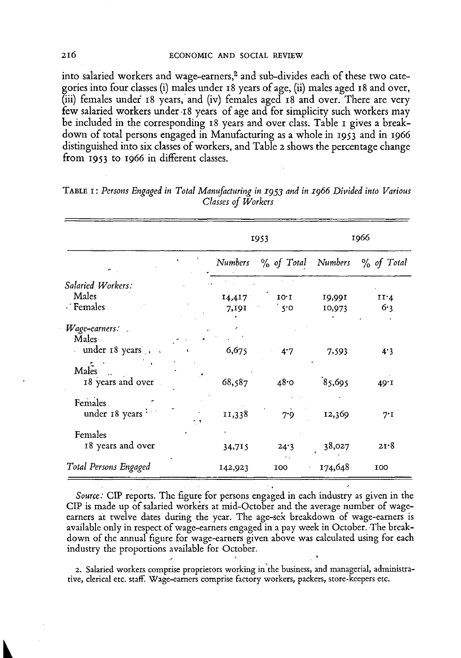**into salaried workers and wage-earners,<sup>2</sup> and sub-divides each of these two categories into four classes (i) males under** 18 **years of age, (ii) males aged** 18 **and over, (iii) females under** 18 **years, and (iv) females aged** 18 **and over. There are very few salaried workers under-i** 8 **years of age and for simplicity such workers may be included in the corresponding** 18 **years and over class. Table i gives a breakdown of total persons engaged in Manufacturing as a whole in** 1953 **and in** 1966 **distinguished into six classes of workers, and Table** 2 **shows the percentage change from** 1953 **to** 1966 **in different classes.** 

|                              |  |                 |                       | 1966             |               |  |
|------------------------------|--|-----------------|-----------------------|------------------|---------------|--|
|                              |  | Numbers         | $\%$ of Total Numbers |                  | $\%$ of Total |  |
| Salaried Workers:            |  |                 |                       |                  |               |  |
| Males<br>· Females           |  | 14,417<br>7,191 | 10.1<br>ໍ s•o         | 19,991<br>10,973 | 11.4<br>6.3   |  |
| Wage-earners:<br>Males       |  |                 |                       |                  |               |  |
| under 18 years,<br>$\sim$    |  | 6,675           | 4.7                   | 7,593            | 4.3           |  |
| Males<br>18 years and over   |  | 68,587          | 48.0                  | 85,695           | 49.1          |  |
| Females<br>under 18 years    |  | 11,338          | 7.9                   | 12,369           | $7^{\cdot}$ I |  |
| Females<br>18 years and over |  | 34,715          | 24.3                  | 38,027           | 21.8          |  |
| Total Persons Engaged        |  | 142,923         | 100                   | 174,648          | 100           |  |

TABLE I: Persons Engaged in Total Manufacturing in 1953 and in 1966 Divided into Various *Classes of Workers* 

*Source:* CIP reports. The figure for persons engaged in each industry as given in the **CIP is made up of salaried workers at mid-October and the average number of wageearners at twelve dates during the year. The age-sex breakdown of wage-earners is available only in respect of wage-earners engaged in a pay week in October. The breakdown of the annual figure for wage-earners given above was calculated using for each industry the proportions available for October.** 

2. Salaried workers comprise proprietors working in the business, and managerial, administrative, clerical etc. staff. Wage-earners comprise factory workers, packers, store-keepers etc.

216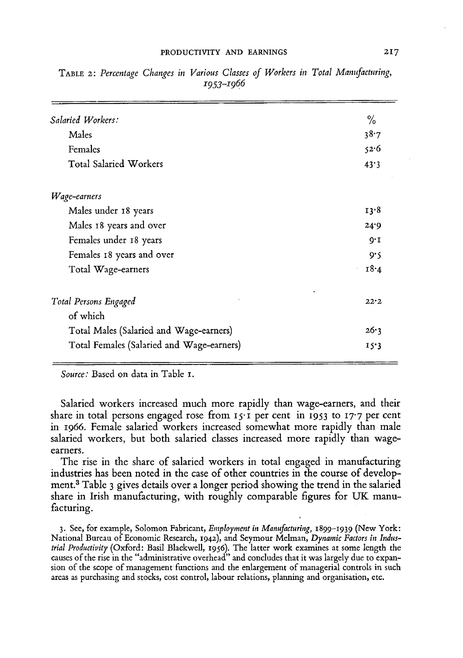#### PRODUCTIVITY AND EARNINGS

| Salaried Workers:                         | $\frac{0}{0}$ |
|-------------------------------------------|---------------|
| Males                                     | 38.7          |
| Females                                   | 52.6          |
| <b>Total Salaried Workers</b>             | 43.3          |
| Wage-earners                              |               |
| Males under 18 years                      | 13.8          |
| Males 18 years and over                   | 24.9          |
| Females under 18 years                    | $Q^*I$        |
| Females 18 years and over                 | 9.5           |
| Total Wage-earners                        | 18.4          |
| Total Persons Engaged                     | 22.2          |
| of which                                  |               |
| Total Males (Salaried and Wage-earners)   | 26.3          |
| Total Females (Salaried and Wage-earners) | 15.3          |
|                                           |               |

TABLE 2: Percentage Changes in Various Classes of Workers in Total Manufacturing, *1953-1966* 

*Source:* **Based on data in Table 1.** 

**Salaried workers increased much more rapidly than wage-earners, and their share in total persons engaged rose from 15-1 per cent in 1953 to 17-7 per cent in 1966. Female salaried workers increased somewhat more rapidly than male salaried workers, but both salaried classes increased more rapidly than wageearners.** 

**The rise in the share of salaried workers in total engaged in manufacturing industries has been noted in the case of other countries in the course of development. <sup>3</sup> Table 3 gives details over a longer period showing the trend in the salaried**  share in Irish manufacturing, with roughly comparable figures for UK manu**facturing.** 

3. See, for example, Solomon Fabricant, *Employment in Manufacturing,* 1899-1939 (New York: National Bureau of Economic Research, 1942), and Seymour Melman, *Dynamic Factors in Industrial Productivity* (Oxford: Basil Blackwell, 1956). The latter work examines at some length the causes of the rise in the "administrative overhead" and concludes that it was largely due to expansion of the scope of management functions and the enlargement of managerial controls in such areas as purchasing and stocks, cost control, labour relations, planning and organisation, etc.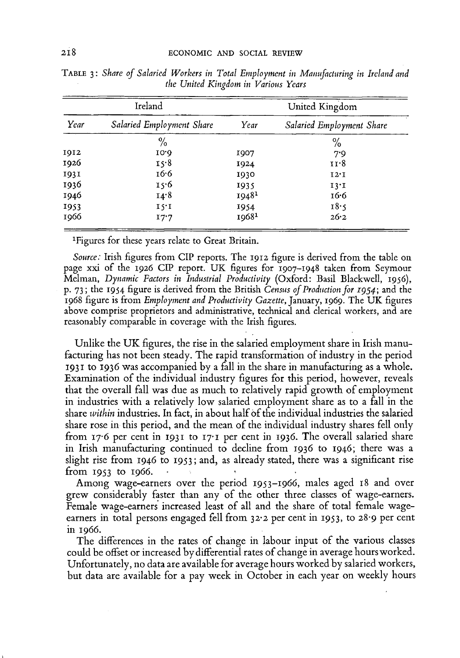| Ireland                   | United Kingdom    |                           |  |  |
|---------------------------|-------------------|---------------------------|--|--|
| Salaried Employment Share | Year              | Salaried Employment Share |  |  |
| $\frac{9}{6}$             |                   | $\frac{0}{0}$             |  |  |
| 10.0                      | 1907              | 7.9                       |  |  |
| 15.8                      | 1924              | 11.8                      |  |  |
| 16.6                      | 1930              | 12.1                      |  |  |
| 15.6                      | 1935              | 13.1                      |  |  |
| 14.8                      | 19481             | 16.6                      |  |  |
| 15.1                      |                   | 18.5                      |  |  |
| 17.7                      | 1968 <sup>1</sup> | 26.2                      |  |  |
|                           |                   | 1954                      |  |  |

TABL <sup>E</sup> **3:** *Share of Salaried Workers in Total Employment in Manufacturing in Ireland and the United Kingdom in Various Years* 

**1 Figures for these years relate to Great Britain.** 

*Source:* **Irish figures from CIP reports. The 1912 figure is derived from the table on page xxi of the 1926 CIP report. U K figures for 1907-1948 taken from Seymour Melman,** *Dynamic Factors in Industrial Productivity* **(Oxford: Basil Blackwell, 1956), p. 73; the 1954 figure is derived from the British** *Census of Production for 1954;* **and the**  1968 figure is from *Employment and Productivity Gazette*, January, 1969. The UK figures **above comprise proprietors and administrative, technical and clerical workers, and are reasonably comparable in coverage with the Irish figures.** 

Unlike the UK figures, the rise in the salaried employment share in Irish manu**facturing has not been steady. The rapid transformation of industry in the period 1931 to 1936 was accompanied by a fall in the share in manufacturing as a whole. Examination of the individual industry figures for this period, however, reveals that the overall fall was due as much to relatively rapid growth of employment in industries with a relatively low salaried employment share as to a fall in the share** *within* **industries. In fact, in about half of the individual industries the salaried share rose in this period, and the mean of the individual industry shares fell only from 17-6 per cent in 1931 to 17-1 per cent in 1936. The overall salaried share in Irish manufacturing continued to decline from 1936 to 1946; there was a slight rise from 1946 to 1953; and, as already stated, there was a significant rise**   $from 1953 to 1966.$ 

**Among wage-earners over the period 1953-1966, males aged 18 and over grew considerably faster than any of the other three classes of wage-earners. Female wage-earners increased least of all and the share of total female wageearners in total persons engaged fell from 32-2 per cent in 1953, to 28-9 per cent in 1966.** 

**The differences in the rates of change in labour input of the various classes could be offset or increased by differential rates of change in average hours worked. Unfortunately, no data are available for average hours worked by salaried workers, but data are available for a pay week in October in each year on weekly hours**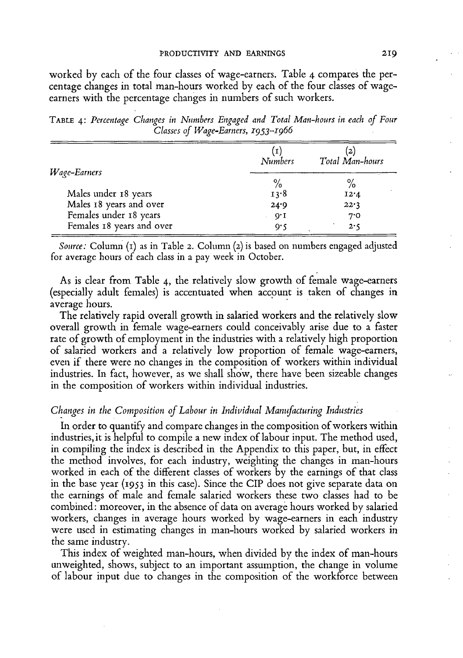**worked by each of the four classes of wage-earners. Table** 4 **compares the percentage changes in total man-hours worked by each of the four classes of wageearners with the percentage changes in numbers of such workers.** 

TABLE 4: Percentage Changes in Numbers Engaged and Total Man-hours in each of Four *Classes of Wage-Earners, 1953-1966* 

| Wage-Earners              | <b>Numbers</b> | $\mathbf{2}$<br>Total Man-hours |
|---------------------------|----------------|---------------------------------|
|                           | $\frac{0}{0}$  | $\%$                            |
| Males under 18 years      | 13.8           | 12.4                            |
| Males 18 years and over   | 24.9           | 22.3                            |
| Females under 18 years    | 9.1            | 7.0                             |
| Females 18 years and over | o۰۲            | 2.5                             |

*Source:* **Column (1) as in Table 2. Column (2) is based on numbers engaged adjusted for average hours of each class in a pay week in October.** 

**As is clear from Table** 4, **the relatively slow growth of female wage-earners (especially adult females) is accentuated when account is taken of changes in average hours.** 

**The relatively rapid overall growth in salaried workers and the relatively slow overall growth in female wage-earners could conceivably arise due to a faster rate of growth of employment in the industries with a relatively high proportion of salaried workers and a relatively low proportion of female wage-earners, even if there were no changes in the composition of workers within individual industries. In fact, however, as we shall show, there have been sizeable changes in the composition of workers within individual industries.** 

#### *Changes in the Composition of Labour in Individual Manufacturing Industries*

**In order to quantify and compare changes in the composition of workers within industries, it is helpful to compile a new index of labour input. The method used, in compiling the index is described in the Appendix to this paper, but, in effect the method involves, for each industry, weighting the changes in man-hours worked in each of the different classes of workers by the earnings of that class in the base year (1953 in this case). Since the CIP does not give separate data on the earnings of male and female salaried workers these two classes had to be combined: moreover, in the absence of data on average hours worked by salaried workers, changes in average hours worked by wage-earners in each industry were used in estimating changes in man-hours worked by salaried workers in the same industry.** 

**This index of weighted man-hours, when divided by the index of man-hours unweighted, shows, subject to an important assumption, the change in volume of labour input due to changes in the composition of the workforce between**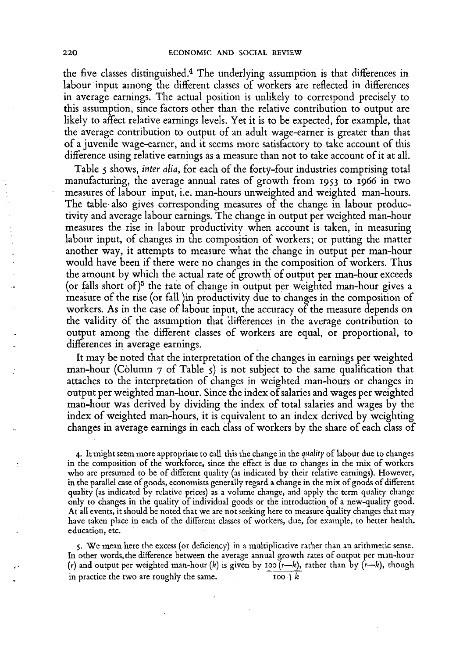the five classes distinguished.<sup>4</sup> The underlying assumption is that differences in labour input among the different classes of workers are reflected in differences in average earnings. The actual position is unlikely to correspond precisely to this assumption, since factors other than the relative contribution to output are likely to affect relative earnings levels. Yet it is to be expected, for example, that the average contribution to output of an adult wage-earner is greater than that of a juvenile wage-earner, and it seems more satisfactory to take account of this difference using relative earnings as a measure than not to take account of it at all.

Table 5 shows, *inter alia*, for each of the forty-four industries comprising total manufacturing, the average annual rates of growth from 1953 to 1966 in two measures of labour input, i.e. man-hours unweighted and weighted man-hours. The table also gives corresponding measures of the change in labour productivity and average labour earnings. The change in output per weighted man-hour measures the rise in labour productivity when account is taken, in measuring labour input, of changes in the composition of workers; or putting the matter another way, it attempts to measure what the change in output per man-hour would have been if there were no changes in the composition of workers. Thus the amount by which the actual rate of growth of output per man-hour exceeds (or falls short of)<sup>5</sup> the rate of change in output per weighted man-hour gives a measure of the rise (or fall )in productivity due to changes in the composition of workers. As in the case of labour input, the accuracy of the measure depends on the validity of the assumption that differences in the average contribution to output among the different classes of workers are equal, or proportional, to differences in average earnings.

It may be noted that the interpretation of the changes in earnings per weighted man-hour (Column  $\tau$  of Table  $\zeta$ ) is not subject to the same qualification that attaches to the interpretation of changes in weighted man-hours or changes in output per weighted man-hour. Since the index of salaries and wages per weighted man-hour was derived by dividing the index of total salaries and wages by the index of weighted man-hours, it is equivalent to an index derived by weighting changes in average earnings in each class of workers by the share of each class of

**4.** It might seem more appropriate to call this the change in the *quality* of labour due to changes in the composition of the workforce, since the effect is due to changes in the mix of workers who are presumed to be of different quality (as indicated by their relative earnings). However, in the parallel case of goods, economists generally regard a change in the mix of goods of different quality (as indicated by relative prices) as a volume change, and apply the term quality change only to changes in the quality of individual goods or the introduction of a new-quality good. At all events, it should be noted that we are not seeking here to measure quality changes that may have taken place in each of the different classes of workers, due, for example, to better health. education, etc.

**5.** We mean here the excess (or deficiency) in a multiplicative rather than an arithmetic sense. In other words, the difference between the average annual growth rates of output per man-hour (r) and output per weighted man-hour *(k)* is given by ioo (r—*k),* rather than by (r—*k),* though in practice the two are roughly the same.  $100+k$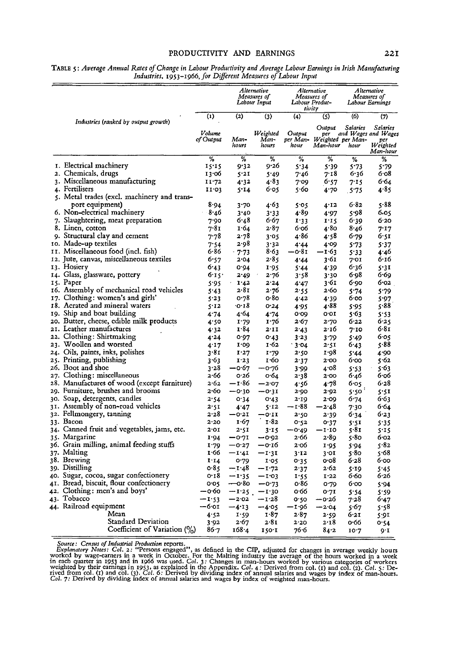#### PRODUCTIVITY AND EARNINGS

|     |                                                                  |                     | Alternative<br>Measures of<br>Labour Input |                           | <i><b>Alternative</b></i><br>Measures of<br>Labour Produc-<br>tivity |                                                | Alternative<br>Measures of<br>Labour Earnings |                                                                |
|-----|------------------------------------------------------------------|---------------------|--------------------------------------------|---------------------------|----------------------------------------------------------------------|------------------------------------------------|-----------------------------------------------|----------------------------------------------------------------|
|     |                                                                  | $\bf (1)$           | $\bf (2)$                                  | (3)                       | (4)                                                                  | (S)                                            | (6)                                           | (7)                                                            |
|     | Industries (ranked by output growth)                             | Volume<br>of Output | Man-<br>hours                              | Weighted<br>Man-<br>hours | Output<br>per Man-<br>hour                                           | Output<br>per<br>Weighted per Man-<br>Man-hour | Salaries<br>hour                              | Salaries<br>and Wages and Wages<br>per<br>Weighted<br>Man-hour |
|     |                                                                  | %                   | %                                          | %                         | %                                                                    | $\%$                                           | %                                             | %                                                              |
|     | I. Electrical machinery                                          | 15.15               | 9.32                                       | 9.26                      | 5*34                                                                 | 5.39                                           | 5.73                                          | 5.79                                                           |
|     | 2. Chemicals, drugs                                              | 13∙06               | 5'21                                       | 5.49                      | 7.46                                                                 | 7.18                                           | 6.36                                          | 6.08                                                           |
|     | 3. Miscellaneous manufacturing                                   | 11.72               | 4.32                                       | 4.83                      | 7.09                                                                 | 6.57                                           | 7.15                                          | 6.64                                                           |
|     | 4. Fertilisers                                                   | 11.03               | 5.14                                       | 6.05                      | 5.60                                                                 | 4.70                                           | 5.75                                          | 4.85                                                           |
|     | 5. Metal trades (excl. machinery and trans-                      |                     |                                            |                           |                                                                      |                                                |                                               |                                                                |
|     | port equipment)                                                  | 8.94                | 3.70                                       | 4.63                      | 5.05                                                                 | 4.12                                           | $6 - 82$                                      | 5.88                                                           |
|     | 6. Non-electrical machinery<br>7. Slaughtering, meat preparation | 8.40                | 3.40<br>6.48                               | 3.33<br>6.67              | 4.89                                                                 | 4.97<br>$I^1S$                                 | 5.98<br>6.39                                  | 6.05<br>6.20                                                   |
|     | 8. Linen, cotton                                                 | 7.90<br>7.81        | 1.64                                       | 2.87                      | 1.33<br>6.06                                                         | 4.80                                           | $8 - 46$                                      | 7.17                                                           |
|     | 9. Structural clay and cement                                    | 7.78                | 2.78                                       | 3.05                      | 4.86                                                                 | 4۰58                                           | 6.79                                          | 6.SI                                                           |
|     | 10. Made-up textiles                                             | 7.54                | 2.98                                       | 3.32                      | 4.44                                                                 | 4.09                                           | 5.73                                          | 5.37                                                           |
|     | II. Miscellaneous food (incl. fish)                              | 6-86                | $-7.73$                                    | 8.63                      | —0∙81                                                                | -1.63                                          | 5*33                                          | 4.40                                                           |
| 12. | Jute, canvas, miscellaneous textiles                             | 6.57                | 2.04                                       | 2.85                      | 4.44                                                                 | 3.61                                           | 7.OI                                          | 6.16                                                           |
|     | 13. Hosiery                                                      | 6.43                | 0.94                                       | 1.95                      | 5.44                                                                 | 4:39                                           | 6.36                                          | 5.31                                                           |
|     | 14. Glass, glassware, pottery                                    | 6.15.               | 2-49                                       | 2.76                      | 3.58                                                                 | 3.30                                           | 6.98                                          | 6.69                                                           |
|     | 15. Paper                                                        | 5.95                | 1.42                                       | 2.24                      | 4.47                                                                 | 3.61                                           | 6.90                                          | 6.02                                                           |
|     | 16. Assembly of mechanical road vehicles                         | 5.43                | 2.81                                       | 2.76                      | 2.55                                                                 | 2.60                                           | 5.74                                          | 5.79                                                           |
| 17. | Clothing: women's and girls'                                     | 5.23                | 0.78                                       | o.80                      | 4.42                                                                 | 4.39                                           | 6.00                                          | 5.97                                                           |
|     | 18. Acrated and mineral waters                                   | 5.12                | ∙o∙18                                      | 0.24                      | 4.95                                                                 | 4.88                                           | 5.95                                          | 5.88                                                           |
|     | 19. Ship and boat building                                       | 4.74                | 4.64                                       | 4.74                      | 0.09                                                                 | o.or                                           | 5.63                                          | 5.53                                                           |
|     | 20. Butter, cheese, edible milk products                         | 4.50                | I.79                                       | 1.76                      | 2.67                                                                 | 2.70                                           | 6.22                                          | 6.25                                                           |
|     | 21. Leather manufactures                                         | 4.32                | 1∙84                                       | 2.11                      | 2.43                                                                 | 2.16                                           | 7.10                                          | 6.81                                                           |
|     | 22. Clothing: Shirtmaking                                        | 4.24                | 0.97                                       | 0.43                      | 3.23                                                                 | 3.79                                           | 5.49                                          | 6.05                                                           |
|     | 23. Woollen and worsted                                          | 4.17                | 1.00                                       | 1.62                      | 3.04                                                                 | 2.51                                           | 6.43                                          | 88 ي                                                           |
|     | 24. Oils, paints, inks, polishes                                 | 3.81                | 1.27                                       | 1.79                      | 2.50                                                                 | 1.98                                           | 5.44                                          | 4.90                                                           |
|     | 25. Printing, publishing                                         | 3.63                | 1.23                                       | 1.60                      | 2.37                                                                 | 2.00                                           | 6.00                                          | 5.62                                                           |
|     | 26. Boot and shoe                                                | 3.28                | —0∙67                                      | −0.76                     | 3.99                                                                 | 4.08                                           | 5.53                                          | 5.63                                                           |
|     | 27. Clothing: miscellaneous                                      | 2.66                | 0.26                                       | о∙б4                      | 2.38                                                                 | 2.00                                           | 6.46                                          | 6.06                                                           |
|     | 28. Manufactures of wood (except furniture)                      | 2 62                | —1∙86                                      | $-2.07$                   | 4.56                                                                 | 4.78                                           | 6.05                                          | 6.28                                                           |
|     | 29. Furniture, brushes and brooms                                | 2.60                | —0∙30                                      | −0.31                     | 2.90                                                                 | 2.92                                           | 5.50                                          | 5.51                                                           |
|     | 30. Soap, detergents, candles                                    | 2.54                | 0.34                                       | 0.43                      | 2.19                                                                 | 2.09                                           | 6.74                                          | 6.63                                                           |
|     | 31. Assembly of non-road vehicles                                | 2.SI                | 4.47                                       | 5.12                      | — 1·88                                                               | $-2.48$                                        | 7.30                                          | 6.64                                                           |
|     | 32. Fellmongery, tanning                                         | 2.28                | −0.21                                      | •0·II                     | 2.50                                                                 | 2.39                                           | 6.34                                          | 6.23                                                           |
|     | 33. Bacon                                                        | 2.20                | 1.67                                       | 182                       | 0.S2                                                                 | 0.37                                           | 5.5I                                          | 5.35                                                           |
|     | 34. Canned fruit and vegetables, jams, etc.                      | 2.01                | 2.5I                                       | 3.15                      | $-0.49$                                                              | $-1.10$                                        | 5.81                                          | 5.15                                                           |
|     | 35. Margarine                                                    | 1.94                | −0.71                                      | —0∙92                     | 2.66                                                                 | 2.89                                           | s∙8o                                          | 6.02                                                           |
|     | 36. Grain milling, animal feeding stuffs                         | 1.79                | —0∙27                                      | –o∙16                     | 2.O <sub>0</sub>                                                     | 1.95                                           | 5.94                                          | 82'ى                                                           |
|     | 37. Malting<br>38. Brewing                                       | 1.66                | $-1.41$                                    | –1.31                     | 3.12                                                                 | 3.01                                           | 5.80                                          | 5.68                                                           |
|     | 39. Distilling                                                   | 1'14                | o·79                                       | 1.05                      | 0.35                                                                 | o•o8                                           | 6.28                                          | 6.00                                                           |
|     | 40. Sugar, cocoa, sugar confectionery                            | o 85<br>0.18        | −1.48                                      | — 1.72                    | 2.37                                                                 | 2.62<br>I.22                                   | 5.19<br>6.60                                  | 5.45<br>6.26                                                   |
|     | 41. Bread, biscuit, flour confectionery                          | o·os                | $-1.35$<br>—o∙8o                           | -1.03                     | 1.55<br>o 86                                                         |                                                | 6.00                                          |                                                                |
|     | 42. Clothing: men's and boys'                                    | -0.60               | $-1.25$                                    | $-0.73$<br>$-1.30$        | 0.66                                                                 | 0.79<br>0.71                                   |                                               | 5.94                                                           |
|     | 43. Tobacco                                                      | -1.53               | $-2.02$                                    | – 1∙28                    | 0.50                                                                 | —0∙26                                          | 5.54<br>7.28                                  | 5.59<br>6.47                                                   |
|     | 44. Railroad equipment                                           | —6∙01               | $-4.13$                                    | -405                      | -1.96                                                                | -2.04                                          | 5.67                                          | 5.58                                                           |
|     | Mean                                                             | 4.52                | 1.59                                       | 1.87                      | 2.87                                                                 | 2.59                                           | 6.21                                          | 5.91                                                           |
|     | <b>Standard Deviation</b>                                        | 3.92                | 2.67                                       | 2.81                      | 2.20                                                                 | 2.18                                           | o·66                                          | 0.54                                                           |
|     | Coefficient of Variation $\langle \frac{0}{0} \rangle$           | $86 - 7$            | 168.4                                      | 150.1                     | 76.6                                                                 | 84.2                                           | 10.7                                          | $Q \cdot I$                                                    |

TABLE 5: *Average Annual Rates of Change in Labour Productivity and Average Labour Earnings in Irish Manufacturing Industries,* 1953-1966, *for Different Measures of Labour Input* 

Source: Census of Industrial Production reports.<br>Explanatory Notes: Col. 2: "Persons engaged", as defined in the CIP, adjusted for changes in average weekly hours<br>worked by wage-carners in a week in Cotober. For the Malti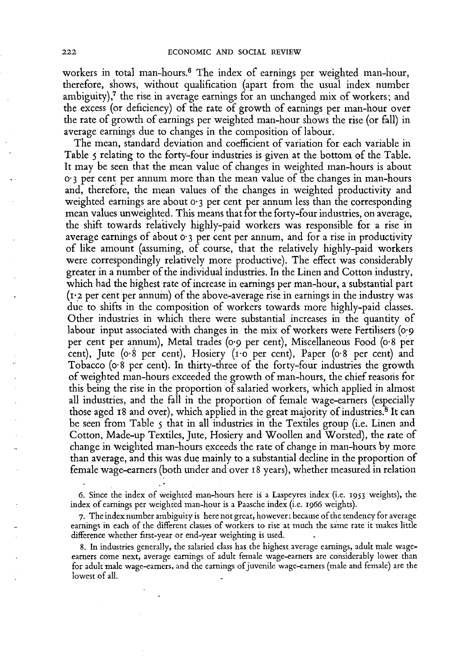workers in total man-hours.<sup>6</sup> The index of earnings per weighted man-hour, therefore, shows, without qualification (apart from the usual index number ambiguity), $\frac{1}{7}$  the rise in average earnings for an unchanged mix of workers; and the excess (or deficiency) of the rate of growth of earnings per man-hour over the rate of growth of earnings per weighted man-hour shows the rise (or fall) in average earnings due to changes in the composition of labour.

The mean, standard deviation and coefficient of variation for each variable in Table 5 relating to the forty-four industries is given at the bottom of the Table. It may be seen that the mean value of changes in weighted man-hours is about o-3 per cent per annum more than the mean value of the changes in man-hours and, therefore, the mean values of the changes in weighted productivity and weighted earnings are about  $\sigma$  3 per cent per annum less than the corresponding mean values unweighted. This means that for the forty-four industries, on average, the shift towards relatively highly-paid workers was responsible for a rise in average earnings of about  $\sigma$  3 per cent per annum, and for a rise in productivity of like amount (assuming, of course, that the relatively highly-paid workers were correspondingly relatively more productive). The effect was considerably greater in a number of the individual industries. In the Linen and Cotton industry, which had the highest rate of increase in earnings per man-hour, a substantial part **(1-2** per cent per annum) o f the above-average rise in earnings in the industry was due to shifts in the composition of workers towards more highly-paid classes. Other industries in which there were substantial increases in the quantity o f labour input associated with changes in the mix of workers were Fertilisers (0.9 per cent per annum), Metal trades **(0**-9 per cent), Miscellaneous Food (o**-8** per cent), Jute (o**-8** per cent), Hosiery (i-o per cent), Paper (o**-8** per cent) and Tobacco (o<sup>-8</sup> per cent). In thirty-three of the forty-four industries the growth of weighted man-hours exceeded the growth of man-hours, the chief reasons for this being the rise in the proportion of salaried workers, which applied in almost all industries, and the fall in the proportion of female wage-earners (especially those aged 18 and over), which applied in the great majority of industries.<sup>8</sup> It can be seen from Table 5 that in all industries in the Textiles group (i.e. Linen and Cotton, Made-up Textiles, Jute, Hosiery and Woollen and Worsted), the rate of change in weighted man-hours exceeds the rate of change in man-hours by more than average, and this was due mainly to a substantial decline in the proportion of female wage-earners (both under and over **18** years), whether measured in relation

6. Since the index of weighted man-hours here is a Laspeyres index (i.e. 1953 weights), the index of earnings per weighted man-hour is a Paasche index (i.e. 1966 weights).

**7.** The index number ambiguity is here not great, however: because o f the tendency for average earnings in each of the different classes of workers to rise at much the same rate it makes little difference whether first-year or end-year weighting is used.

**8.** In industries generally, the salaried class has the highest average earnings, adult male wageearners come next, average earnings of adult female wage-earners are considerably lower than for adult male wage-earners, and the earnings of juvenile wage-earners (male and female) arc the lowest of all.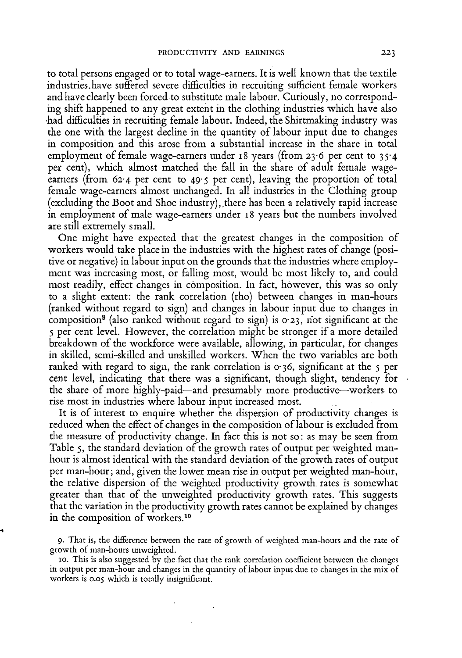to total persons engaged or to total wage-earners. It is well known that the textile industries.have suffered severe difficulties in recruiting sufficient female workers and have clearly been forced to substitute male labour. Curiously, no corresponding shift happened to any great extent in the clothing industries which have also •had difficulties in recruiting female labour. Indeed, the Shirtmaking industry was the one with the largest decline in the quantity of labour input due to changes in composition and this arose from a substantial increase in the share in total employment of female wage-earners under 18 years (from 23.6 per cent to 35.4 per cent), which almost matched the fall in the share of adult female wageearners (from 62.4 per cent to 49.5 per cent), leaving the proportion of total female wage-earners almost unchanged. In all industries in the Clothing group (excluding the Boot and Shoe industry), there has been a relatively rapid increase in employment of male wage-earners under 18 years but the numbers involved are still extremely small.

One might have expected that the greatest changes in the composition of workers would take place in the industries with the highest rates of change (positive or negative) in labour input on the grounds that the industries where employment was increasing most, or falling most, would be most likely to, and could most readily, effect changes in composition. In fact, however, this was so only to a slight extent: the rank correlation (rho) between changes in man-hours (ranked without regard to sign) and changes in labour input due to changes in composition<sup>9</sup> (also ranked without regard to sign) is **0-23,** riot significant at the 5 per cent level. However, the correlation might be stronger if a more detailed breakdown of the workforce were available, allowing, in particular, for changes in skilled, semi-skilled and unskilled workers. When the two variables are both ranked with regard to sign, the rank correlation is 0.36, significant at the 5 per cent level, indicating that there was a significant, though slight, tendency for the share of more highly-paid—and presumably more productive—workers to rise most in industries where labour input increased most.

It is of interest to enquire whether the dispersion of productivity changes is reduced when the effect of changes in the composition of labour is excluded from the measure of productivity change. In fact this is not so: as may be seen from Table 5, the standard deviation of the growth rates of output per weighted manhour is almost identical with the standard deviation of the growth rates of output per man-hour; and, given the lower mean rise in output per weighted man-hour, the relative dispersion of the weighted productivity growth rates is somewhat greater than that of the unweighted productivity growth rates. This suggests that the variation in the productivity growth rates cannot be explained by changes in the composition of workers.<sup>10</sup>

<sup>9.</sup> That is, the difference between the rate of growth of weighted man-hours and the rate of growth of man-hours unweighted.

<sup>10.</sup> This is also suggested by the fact that the rank correlation coefficient between the changes in output per man-hour and changes in the quantity of labour input due to changes in the mix of workers is 0.05 which is totally insignificant.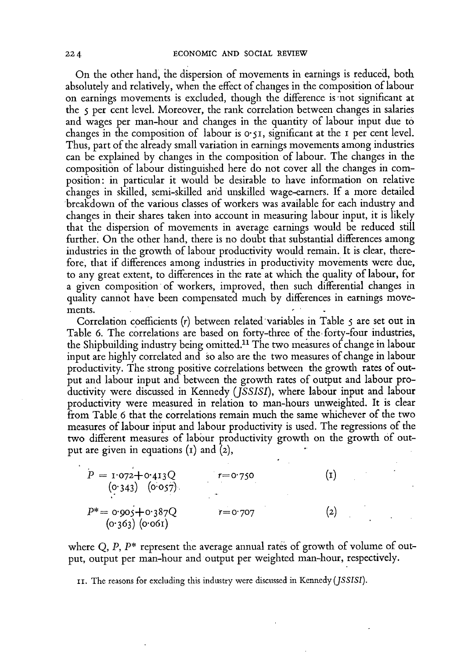On the other hand, the dispersion of movements in earnings is reduced, both absolutely and relatively, when the effect of changes in the composition of labour on earnings movements is excluded, though the difference is not significant at the 5 per cent level. Moreover, the rank correlation between changes in salaries and wages per man-hour and changes in the quantity of labour input due to changes in the composition of labour is  $0.51$ , significant at the 1 per cent level. Thus, part of the already small variation in earnings movements among industries can be explained by changes in the composition of labour. The changes in the composition of labour distinguished here do not cover all the changes in composition: in particular it would be desirable to have information on relative changes in skilled, semi-skilled and unskilled wage-earners. If a more detailed breakdown of the various classes of workers was available for each industry and changes in their shares taken into account in measuring labour input, it is likely that the dispersion of movements in average earnings would be reduced still further. On the other hand, there is no doubt that substantial differences among industries in the growth of labour productivity would remain. It is clear, therefore, that if differences among industries in productivity movements were due, to any great extent, to differences in the rate at which the quality of labour, for a given composition of workers, improved, then such differential changes in quality cannot have been compensated much by differences in earnings movements.  $\blacksquare$ 

Correlation coefficients  $(r)$  between related variables in Table 5 are set out in Table 6. The correlations are based on forty-three of the forty-four industries, the Shipbuilding industry being omitted.<sup>11</sup> The two measures of change in labour input are highly correlated and so also are the two measures of change in labour productivity. The strong positive correlations between the growth rates of output and labour input and between the growth rates of output and labour productivity were discussed in Kennedy *(JSSISI),* where labour input and labour productivity were measured in relation to man-hours unweighted. It is clear from Table 6 that the correlations remain much the same whichever of the two measures of labour input and labour productivity is used. The regressions of the two different measures of labour productivity growth on the growth of output are given in equations (1) and (2),

$$
P = 1.072 + 0.413Q
$$
 (1)  
\n(0.343) (0.057)  
\n
$$
P^* = 0.905 + 0.387Q
$$
 (2)  
\n(0.363) (0.061)

where  $Q$ ,  $P$ ,  $P^*$  represent the average annual rates of growth of volume of output, output per man-hour and output per weighted man-hour, respectively.

11. The reasons for excluding this industry were discussed in Kennedy *(JSSISI).*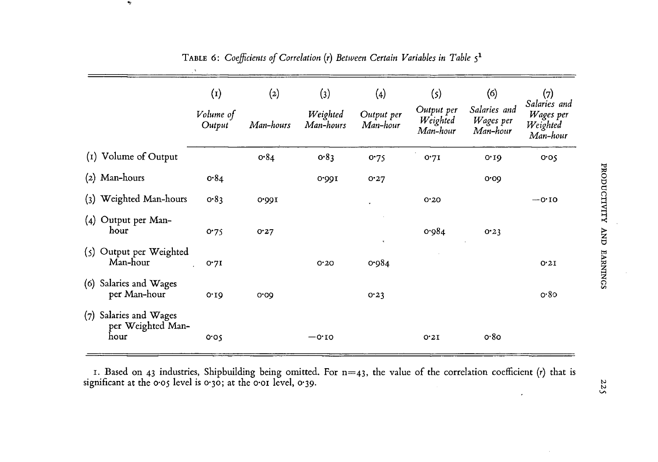|                                                     | $\rm (1)$           | (2)       | (3)                   | $\left( 4 \right)$     | (s)                                | (6)                                   | (7)<br>Salaries and               |
|-----------------------------------------------------|---------------------|-----------|-----------------------|------------------------|------------------------------------|---------------------------------------|-----------------------------------|
|                                                     | Volume of<br>Output | Man-hours | Weighted<br>Man-hours | Output per<br>Man-hour | Output per<br>Weighted<br>Man-hour | Salaries and<br>Wages per<br>Man-hour | Wages per<br>Weighted<br>Man-hour |
| (I) Volume of Output                                |                     | 0.84      | 0.83                  | 0.75                   | 0.7I                               | 0.19                                  | 0.05                              |
| $(2)$ Man-hours                                     | 0.84                |           | 0.991                 | 0.27                   |                                    | 0.00                                  |                                   |
| Weighted Man-hours<br>(3)                           | 0.83                | 0.001     |                       |                        | 0.20                               |                                       | $-0.10$                           |
| Output per Man-<br>(4)<br>hour                      | 0.75                | 0.27      |                       | $\bullet$              | 0.984                              | 0.23                                  |                                   |
| $(s)$ Output per Weighted<br>Man-hour               | 0.7I                |           | 0.20                  | 0.984                  |                                    |                                       | 0.21                              |
| Salaries and Wages<br>(6)<br>per Man-hour           | 0.10                | 0.00      |                       | 0.23                   |                                    |                                       | o.80                              |
| (7) Salaries and Wages<br>per Weighted Man-<br>hour | 0.05                |           | $-0.10$               |                        | 0.21                               | o.8o                                  |                                   |

TABLE 6: Coefficients of Correlation (r) Between Certain Variables in Table  $5^1$ 

رپه

**1. Based on 43 industries, Shipbuilding being omitted. For n=43, the value of the correlation coefficient (r) that is significant at the 0-05 level is 0-30; at the o-oi level, 0-39.**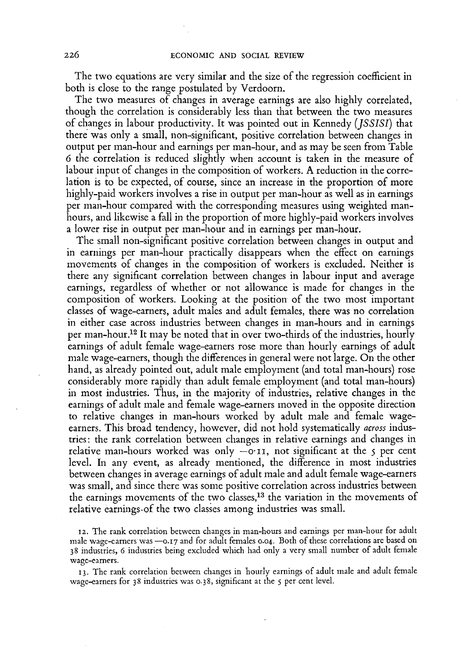**The two equations are very similar and the size of the regression coefficient in both is close to the range postulated by Verdoorn.** 

**The two measures of changes in average earnings are also highly correlated, though the correlation is considerably less than that between the two measures of changes in labour productivity. It was pointed out in Kennedy** *(JSSISI)* **that there was only a small, non-significant, positive correlation between changes in output per man-hour and earnings per man-hour, and as may be seen from Table**  6 **the correlation is reduced slightly when account is taken in the measure of labour input of changes in the composition of workers. A reduction in the correlation is to be expected, of course, since an increase in the proportion of more highly-paid workers involves a rise in output per man-hour as well as in earnings per man-hour compared with the corresponding measures using weighted manhours, and likewise a fall in the proportion of more highly-paid workers involves a lower rise in output per man-hour and in earnings per man-hour.** 

**The small non-significant positive correlation between changes in output and in earnings per man-hour practically disappears when the effect on earnings movements of changes in the composition of workers is excluded. Neither is there any significant correlation between changes in labour input and average earnings, regardless of whether or not allowance is made for changes in the composition of workers. Looking at the position of the two most important classes of wage-earners, adult males and adult females, there was no correlation in either case across industries between changes in man-hours and in earnings per man-hour. <sup>1</sup> <sup>2</sup> It may be noted that in over two-thirds of the industries, hourly earnings of adult female wage-earners rose more than hourly earnings of adult male wage-earners, though the differences in general were not large. On the other hand, as already pointed out, adult male employment (and total man-hours) rose considerably more rapidly than adult female employment (and total man-hours) in most industries. Thus, in the majority of industries, relative changes in the earnings of adult male and female wage-earners moved in the opposite direction to relative changes in man-hours worked by adult male and female wageearners. This broad tendency, however, did not hold systematically** *across* **industries: the rank correlation between changes in relative earnings and changes in relative man-hours worked was only — o-il, not significant at the 5 per cent level. In any event, as already mentioned, the difference in most industries between changes in average earnings of adult male and adult female wage-earners was small, and since there was some positive correlation across industries between the earnings movements of the two classes,<sup>13</sup> the variation in the movements of relative earnings-of the two classes among industries was small.** 

12. The rank correlation between changes in man-hours and earnings per man-hour for adult male wage-earners was —0.17 and for adult females 0.04. Both of these correlations are based on 38 industries, 6 industries being excluded which had only a very small number of adult female wage-earners.

13. The rank correlation between changes in hourly earnings of adult male and adult female wage-earners for 38 industries was 0.38, significant at the 5 per cent level.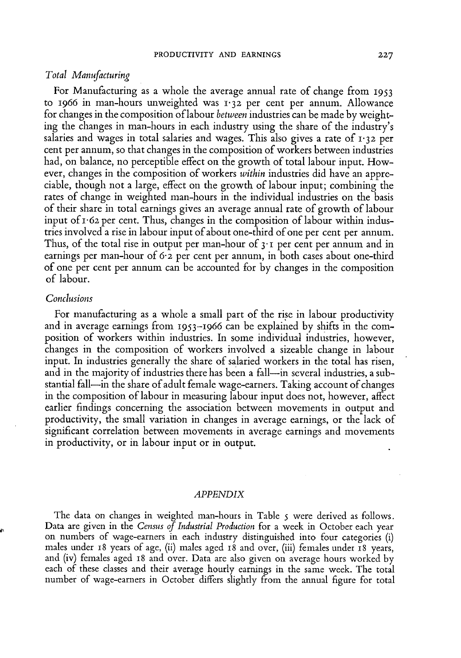#### *Total Manufacturing*

**For Manufacturing as a whole the average annual rate of change from** 1953 **to** 1966 **in man-hours unweighted was** 1-32 **per cent per annum. Allowance for changes in the composition of labour** *between* **industries can be made by weighting the changes in man-hours in each industry using the share of the industry's salaries and wages in total salaries and wages. This also gives a rate of** 1-32 **per cent per annum, so that changes in the composition of workers between industries had, on balance, no perceptible effect on the growth of total labour input. However, changes in the composition of workers** *within* **industries did have an appreciable, though not a large, effect on the growth of labour input; combining the rates of change in weighted man-hours in the individual industries on the basis of their share in total earnings gives an average annual rate of growth of labour input of** 1-62 **per cent. Thus, changes in the composition of labour within industries involved a rise in labour input of about one-third of one per cent per annum. Thus, of the total rise in output per man-hour of** 3 • 1 **per cent per annum and in earnings per man-hour of** 6-2 **per cent per annum, in both cases about one-third of one per cent per annum can be accounted for by changes in the composition of labour.** 

### *Conclusions*

**For manufacturing as a whole a small part of the rise in labour productivity and in average earnings from** 1953-1966 **can be explained by shifts in the composition of workers within industries. In some individual industries, however, changes in the composition of workers involved a sizeable change in labour input. In industries generally the share of salaried workers in the total has risen, and in the majority of industries there has been a fall—in several industries, a substantial fall—in the share of adult female wage-earners. Taking account of changes in the composition of labour in measuring labour input does not, however, affect earlier findings concerning the association between movements in output and productivity, the small variation in changes in average earnings, or the lack of significant correlation between movements in average earnings and movements in productivity, or in labour input or in output.** 

#### *APPENDIX*

**The data on changes in weighted man-hours in Table 5 were derived as follows. Data are given in the** *Census of Industrial Production* **for a week in October each year on numbers of wage-earners in each industry distinguished into four categories (i) males under** 18 **years of age, (ii) males aged** 18 **and over, (iii) females under** 18 **years, and (iv) females aged** 18 **and over. Data are also given on average hours worked by each of these classes and their average hourly earnings in the same week. The total number of wage-earners in October differs slightly from the annual figure for total**